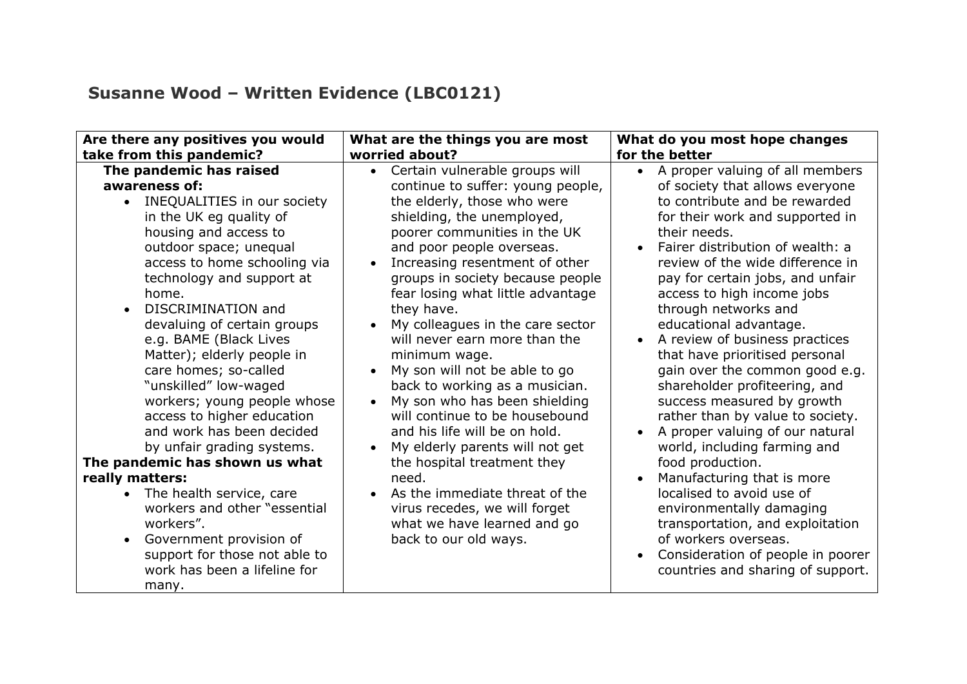## **Susanne Wood – Written Evidence (LBC0121)**

| Are there any positives you would                                                                                                                                                                                                                                                                                                                                                                                                                                                                                                                                                                                                                                                                                                                                  | What are the things you are most                                                                                                                                                                                                                                                                                                                                                                                                                                                                                                                                                                                                                                                                                                                                                                       | What do you most hope changes                                                                                                                                                                                                                                                                                                                                                                                                                                                                                                                                                                                                                                                                                                                                                                                                                                                                |
|--------------------------------------------------------------------------------------------------------------------------------------------------------------------------------------------------------------------------------------------------------------------------------------------------------------------------------------------------------------------------------------------------------------------------------------------------------------------------------------------------------------------------------------------------------------------------------------------------------------------------------------------------------------------------------------------------------------------------------------------------------------------|--------------------------------------------------------------------------------------------------------------------------------------------------------------------------------------------------------------------------------------------------------------------------------------------------------------------------------------------------------------------------------------------------------------------------------------------------------------------------------------------------------------------------------------------------------------------------------------------------------------------------------------------------------------------------------------------------------------------------------------------------------------------------------------------------------|----------------------------------------------------------------------------------------------------------------------------------------------------------------------------------------------------------------------------------------------------------------------------------------------------------------------------------------------------------------------------------------------------------------------------------------------------------------------------------------------------------------------------------------------------------------------------------------------------------------------------------------------------------------------------------------------------------------------------------------------------------------------------------------------------------------------------------------------------------------------------------------------|
| take from this pandemic?                                                                                                                                                                                                                                                                                                                                                                                                                                                                                                                                                                                                                                                                                                                                           | worried about?                                                                                                                                                                                                                                                                                                                                                                                                                                                                                                                                                                                                                                                                                                                                                                                         | for the better                                                                                                                                                                                                                                                                                                                                                                                                                                                                                                                                                                                                                                                                                                                                                                                                                                                                               |
| The pandemic has raised<br>awareness of:<br>INEQUALITIES in our society<br>$\bullet$<br>in the UK eg quality of<br>housing and access to<br>outdoor space; unequal<br>access to home schooling via<br>technology and support at<br>home.<br>DISCRIMINATION and<br>devaluing of certain groups<br>e.g. BAME (Black Lives<br>Matter); elderly people in<br>care homes; so-called<br>"unskilled" low-waged<br>workers; young people whose<br>access to higher education<br>and work has been decided<br>by unfair grading systems.<br>The pandemic has shown us what<br>really matters:<br>The health service, care<br>workers and other "essential<br>workers".<br>Government provision of<br>support for those not able to<br>work has been a lifeline for<br>many. | Certain vulnerable groups will<br>$\bullet$<br>continue to suffer: young people,<br>the elderly, those who were<br>shielding, the unemployed,<br>poorer communities in the UK<br>and poor people overseas.<br>Increasing resentment of other<br>groups in society because people<br>fear losing what little advantage<br>they have.<br>My colleagues in the care sector<br>will never earn more than the<br>minimum wage.<br>My son will not be able to go<br>back to working as a musician.<br>My son who has been shielding<br>will continue to be housebound<br>and his life will be on hold.<br>My elderly parents will not get<br>the hospital treatment they<br>need.<br>As the immediate threat of the<br>virus recedes, we will forget<br>what we have learned and go<br>back to our old ways. | A proper valuing of all members<br>of society that allows everyone<br>to contribute and be rewarded<br>for their work and supported in<br>their needs.<br>Fairer distribution of wealth: a<br>$\bullet$<br>review of the wide difference in<br>pay for certain jobs, and unfair<br>access to high income jobs<br>through networks and<br>educational advantage.<br>A review of business practices<br>that have prioritised personal<br>gain over the common good e.g.<br>shareholder profiteering, and<br>success measured by growth<br>rather than by value to society.<br>A proper valuing of our natural<br>world, including farming and<br>food production.<br>Manufacturing that is more<br>localised to avoid use of<br>environmentally damaging<br>transportation, and exploitation<br>of workers overseas.<br>Consideration of people in poorer<br>countries and sharing of support. |